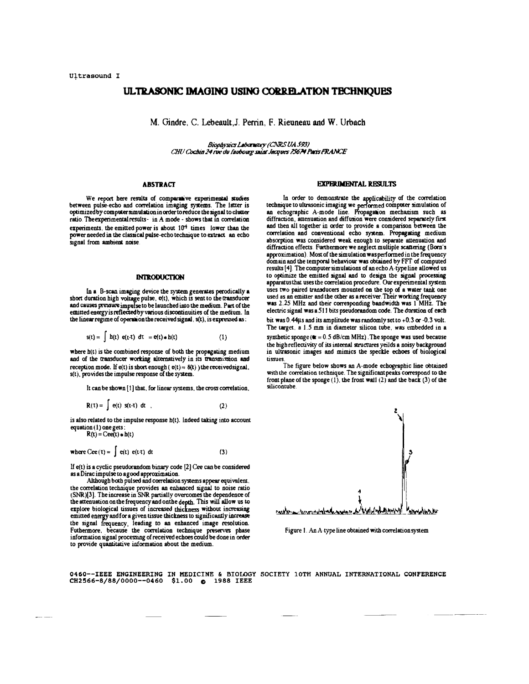# ULTRASONIC IMAGING USING CORRELATION TECHNIOUES

M. Gindre, C. Lebeault, J. Perrin, F. Rieuneau and W. Urbach

Biophysics Laboratory (CNRS UA 593) CHU Cochin 24 rue du faubourg saint Jacques 75674 Paris FRANCE

## **ABSTRACT**

We report here results of comparative experimental studies between pulse-echo and correlation imaging systems. The latter is<br>optimized by computer simulation in order to reduce the signal to clutter ratio. The experimental results - in A mode - shows that in correlation experiments, the emitted power is about  $10^4$  times lower than the power needed in the classical pulse-echo technique to extract an echo signal from ambient noise.

### **INTRODUCTION**

In a B-scan imaging device the system generates perodically a short duration high voltage pulse, e(t), which is sent to the transducer<br>and causes pressure impulse to be launched into the medium. Part of the emitted energy is reflected by various discontinuities of the medium. In the linear regime of operation the received signal, s(t), is expressed as:

$$
s(t) = \int h(t) e(t-t) dt = e(t) * h(t)
$$
 (1)

where  $h(t)$  is the combined response of both the propagating medium<br>and of the transducer working alternatively in its transmission and reception mode. If  $e(t)$  is short enough  $(e(t) \approx \delta(t))$  the received signal,  $s(t)$ , provides the impulse response of the system.

It can be shown [1] that, for linear systems, the cross correlation,

$$
R(T) = |e(t) s(t-t) dt , \qquad (2)
$$

is also related to the impulse response h(t). Indeed taking into account equation (1) one gets:

 $R(t) = Cee(t) * h(t)$ 

 $\epsilon$ 

where 
$$
Cee(t) = \int e(t) e(t+1) dt
$$
 (3)

If  $e(t)$  is a cyclic pseudorandom binary code  $[2]$  Cee can be considered as a Dirac impulse to a good approximation.

Although both pulsed and correlation systems appear equivalent. the correlation technique provides an enhanced signal to noise ratio (SNR)[3]. The increase in SNR partially overcomes the dependence of the attenuation on the frequency and on the depth. This will allow us to<br>explore biological tissues of increased thickness without increasing emitted energy and for a given tissue thickness to significantly increase the signal frequency, leading to an enhanced image resolution. Futhermore, because the correlation technique preserves phase information signal processing of received echoes could be done in order to provide quantitative information about the medium.

#### **EXPERIMENTAL RESULTS**

In order to demonstrate the applicability of the correlation technique to ultrasonic imaging we performed computer simulation of<br>an echographic A-mode line. Propagation mechanism such as diffraction, attenuation and diffusion were considered separately first and then all together in order to provide a comparison between the correlation and conventional echo system. Propagating medium absorption was considered weak enough to separate attenuation and diffraction effects. Furthermore we neglect multiple scattering (Born's approximation) Most of the simulation was performed in the frequency domain and the temporal behaviour was obtained by FFT of computed results [4]. The computer simulations of an echo A-type line allowed us to optimize the emitted signal and to design the signal processing apparatus that uses the correlation procedure. Our experimental system uses two paired transducers mounted on the top of a water tank one used as an emitter and the other as a receiver. Their working frequency was 2.25 MHz and their corresponding bandwidth was 1 MHz. The electric signal was a 511 bits pseudorandom code. The duration of each

bit was 0.44µs and its amplitude was randomly set to +0.3 or -0.3 volt. The target, a 1.5 mm in diameter silicon tube, was embedded in a synthetic sponge ( $\mathbf{e} = 0.5$  dB/cm MHz). The sponge was used because the high reflectivity of its internal structures yeilds a noisy background in ultrasonic images and mimics the speckle echoes of biological tissues.

The figure below shows an A-mode echographic line obtained with the correlation technique. The significant peaks correspond to the front plane of the sponge  $(1)$ , the front wall  $(2)$  and the back  $(3)$  of the silicontube



Figure 1. An A-type line obtained with correlation system

0460--IEEE ENGINEERING IN MEDICINE & BIOLOGY SOCIETY 10TH ANNUAL INTERNATIONAL CONFERENCE CH2566-8/88/0000--0460 \$1.00 @ 1988 IEEE